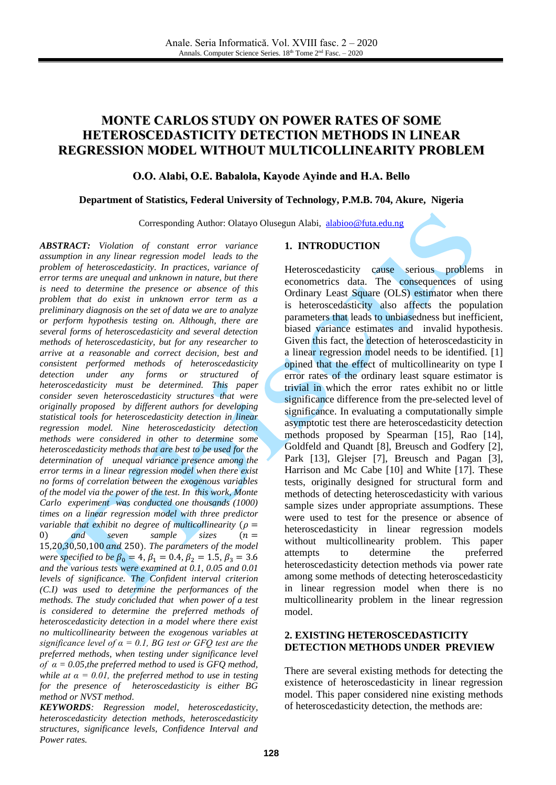# **MONTE CARLOS STUDY ON POWER RATES OF SOME HETEROSCEDASTICITY DETECTION METHODS IN LINEAR REGRESSION MODEL WITHOUT MULTICOLLINEARITY PROBLEM**

### **O.O. Alabi, O.E. Babalola, Kayode Ayinde and H.A. Bello**

#### **Department of Statistics, Federal University of Technology, P.M.B. 704, Akure, Nigeria**

Corresponding Author: Olatayo Olusegun Alabi, [alabioo@futa.edu.ng](mailto:alabioo@futa.edu.ng)

*ABSTRACT: Violation of constant error variance assumption in any linear regression model leads to the problem of heteroscedasticity. In practices, variance of error terms are unequal and unknown in nature, but there is need to determine the presence or absence of this problem that do exist in unknown error term as a preliminary diagnosis on the set of data we are to analyze or perform hypothesis testing on. Although, there are several forms of heteroscedasticity and several detection methods of heteroscedasticity, but for any researcher to arrive at a reasonable and correct decision, best and consistent performed methods of heteroscedasticity detection under any forms or structured of heteroscedasticity must be determined. This paper consider seven heteroscedasticity structures that were originally proposed by different authors for developing statistical tools for heteroscedasticity detection in linear regression model. Nine heteroscedasticity detection methods were considered in other to determine some heteroscedasticity methods that are best to be used for the determination of unequal variance presence among the error terms in a linear regression model when there exist no forms of correlation between the exogenous variables of the model via the power of the test. In this work, Monte Carlo experiment was conducted one thousands (1000) times on a linear regression model with three predictor variable that exhibit no degree of multicollinearity*  $(\rho = 0)$  and seven sample sizes  $(n = 1)$ 0)  $and$  seven sample sizes  $(n =$ 15,20,30,50,100 250)*. The parameters of the model were specified to be*  $\beta_0 = 4$ ,  $\beta_1 = 0.4$ ,  $\beta_2 = 1.5$ ,  $\beta_3 = 3.6$ *and the various tests were examined at 0.1, 0.05 and 0.01 levels of significance. The Confident interval criterion (C.I) was used to determine the performances of the methods. The study concluded that when power of a test is considered to determine the preferred methods of heteroscedasticity detection in a model where there exist no multicollinearity between the exogenous variables at significance level of*  $\alpha = 0.1$ *, BG test or GFQ test are the preferred methods, when testing under significance level of α = 0.05,the preferred method to used is GFQ method, while*  $at \alpha = 0.01$ *, the preferred method to use in testing for the presence of heteroscedasticity is either BG method or NVST method.*

*KEYWORDS: Regression model, heteroscedasticity, heteroscedasticity detection methods, heteroscedasticity structures, significance levels, Confidence Interval and Power rates.*

#### **1. INTRODUCTION**

Heteroscedasticity cause serious problems in econometrics data. The consequences of using Ordinary Least Square (OLS) estimator when there is heteroscedasticity also affects the population parameters that leads to unbiasedness but inefficient, biased variance estimates and invalid hypothesis. Given this fact, the detection of heteroscedasticity in a linear regression model needs to be identified. [\[1\]](#page-5-0) opined that the effect of multicollinearity on type I error rates of the ordinary least square estimator is trivial in which the error rates exhibit no or little significance difference from the pre-selected level of significance. In evaluating a computationally simple asymptotic test there are heteroscedasticity detection methods proposed by Spearman [\[15\],](#page-6-0) Rao [\[14\],](#page-6-1) Goldfeld and Quandt [\[8\],](#page-6-2) Breusch and Godfery [\[2\],](#page-5-1) Park [\[13\],](#page-6-3) Glejser [\[7\],](#page-6-4) Breusch and Pagan [\[3\],](#page-6-5) Harrison and Mc Cabe [\[10\]](#page-6-6) and White [\[17\].](#page-6-7) These tests, originally designed for structural form and methods of detecting heteroscedasticity with various sample sizes under appropriate assumptions. These were used to test for the presence or absence of heteroscedasticity in linear regression models without multicollinearity problem. This paper attempts to determine the preferred heteroscedasticity detection methods via power rate among some methods of detecting heteroscedasticity in linear regression model when there is no multicollinearity problem in the linear regression model.

#### **2. EXISTING HETEROSCEDASTICITY DETECTION METHODS UNDER PREVIEW**

There are several existing methods for detecting the existence of heteroscedasticity in linear regression model. This paper considered nine existing methods of heteroscedasticity detection, the methods are: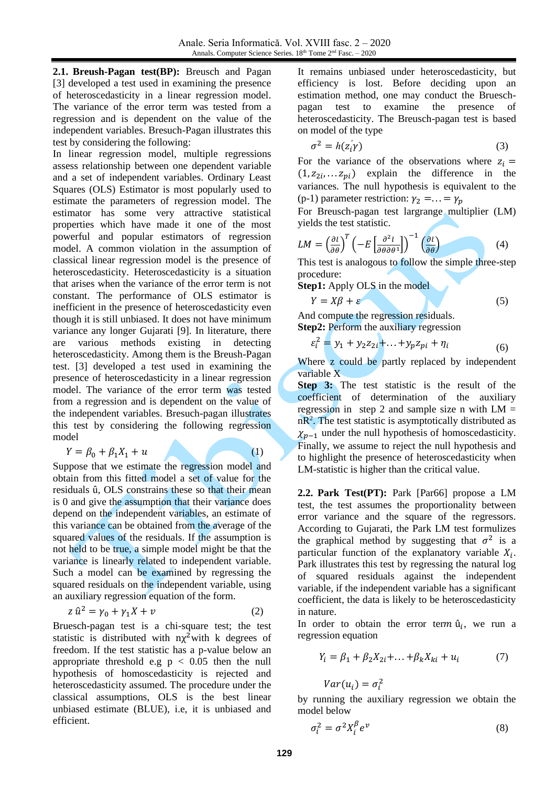**2.1. Breush-Pagan test(BP):** Breusch and Pagan [\[3\]](#page-6-5) developed a test used in examining the presence of heteroscedasticity in a linear regression model. The variance of the error term was tested from a regression and is dependent on the value of the independent variables. Bresuch-Pagan illustrates this test by considering the following:

In linear regression model, multiple regressions assess relationship between one dependent variable and a set of independent variables. Ordinary Least Squares (OLS) Estimator is most popularly used to estimate the parameters of regression model. The estimator has some very attractive statistical properties which have made it one of the most powerful and popular estimators of regression model. A common violation in the assumption of classical linear regression model is the presence of heteroscedasticity. Heteroscedasticity is a situation that arises when the variance of the error term is not constant. The performance of OLS estimator is inefficient in the presence of heteroscedasticity even though it is still unbiased. It does not have minimum variance any longer Gujarati [\[9\].](#page-6-8) In literature, there are various methods existing in detecting heteroscedasticity. Among them is the Breush-Pagan test. [\[3\]](#page-6-5) developed a test used in examining the presence of heteroscedasticity in a linear regression model. The variance of the error term was tested from a regression and is dependent on the value of the independent variables. Bresuch-pagan illustrates this test by considering the following regression model

$$
Y = \beta_0 + \beta_1 X_1 + u \tag{1}
$$

$$
(1)
$$

Suppose that we estimate the regression model and obtain from this fitted model a set of value for the residuals û, OLS constrains these so that their mean is 0 and give the assumption that their variance does depend on the independent variables, an estimate of this variance can be obtained from the average of the squared values of the residuals. If the assumption is not held to be true, a simple model might be that the variance is linearly related to independent variable. Such a model can be examined by regressing the squared residuals on the independent variable, using an auxiliary regression equation of the form.

$$
z\,\hat{u}^2 = \gamma_0 + \gamma_1 X + v \tag{2}
$$

Bruesch-pagan test is a chi-square test; the test statistic is distributed with  $ny^2$  with k degrees of freedom. If the test statistic has a p-value below an appropriate threshold e.g  $p < 0.05$  then the null hypothesis of homoscedasticity is rejected and heteroscedasticity assumed. The procedure under the classical assumptions, OLS is the best linear unbiased estimate (BLUE), i.e, it is unbiased and efficient.

It remains unbiased under heteroscedasticity, but efficiency is lost. Before deciding upon an estimation method, one may conduct the Brueschpagan test to examine the presence of heteroscedasticity. The Breusch-pagan test is based on model of the type

$$
\sigma^2 = h(z_i' \gamma) \tag{3}
$$

For the variance of the observations where  $z_i =$  $(1, z_{2i}, \ldots z_{pi})$  explain the difference in the variances. The null hypothesis is equivalent to the (p-1) parameter restriction:  $\gamma_2 = \ldots = \gamma_p$ 

For Breusch-pagan test largrange multiplier (LM) yields the test statistic.

$$
LM = \left(\frac{\partial l}{\partial \theta}\right)^T \left(-E\left[\frac{\partial^2 l}{\partial \theta \partial \theta^1}\right]\right)^{-1} \left(\frac{\partial l}{\partial \theta}\right) \tag{4}
$$

This test is analogous to follow the simple three-step procedure:

**Step1:** Apply OLS in the model

$$
Y = X\beta + \varepsilon \tag{5}
$$

And compute the regression residuals. **Step2:** Perform the auxiliary regression

$$
\varepsilon_i^2 = y_1 + y_2 z_{2i} + \dots + y_p z_{pi} + \eta_i \tag{6}
$$

Where z could be partly replaced by independent variable X

**Step 3:** The test statistic is the result of the coefficient of determination of the auxiliary regression in step 2 and sample size n with  $LM =$  $nR<sup>2</sup>$ . The test statistic is asymptotically distributed as  $\chi_{p-1}$  under the null hypothesis of homoscedasticity. Finally, we assume to reject the null hypothesis and to highlight the presence of heteroscedasticity when LM-statistic is higher than the critical value.

**2.2. Park Test(PT):** Park [Par66] propose a LM test, the test assumes the proportionality between error variance and the square of the regressors. According to Gujarati, the Park LM test formulizes the graphical method by suggesting that  $\sigma^2$  is a particular function of the explanatory variable  $X_i$ . Park illustrates this test by regressing the natural log of squared residuals against the independent variable, if the independent variable has a significant coefficient, the data is likely to be heteroscedasticity in nature.

In order to obtain the error term  $\hat{u}_i$ , we run a regression equation

$$
Y_i = \beta_1 + \beta_2 X_{2i} + \dots + \beta_k X_{ki} + u_i \tag{7}
$$

 $Var(u_i) = \sigma_i^2$ 

by running the auxiliary regression we obtain the model below

$$
\sigma_i^2 = \sigma^2 X_i^\beta e^\nu \tag{8}
$$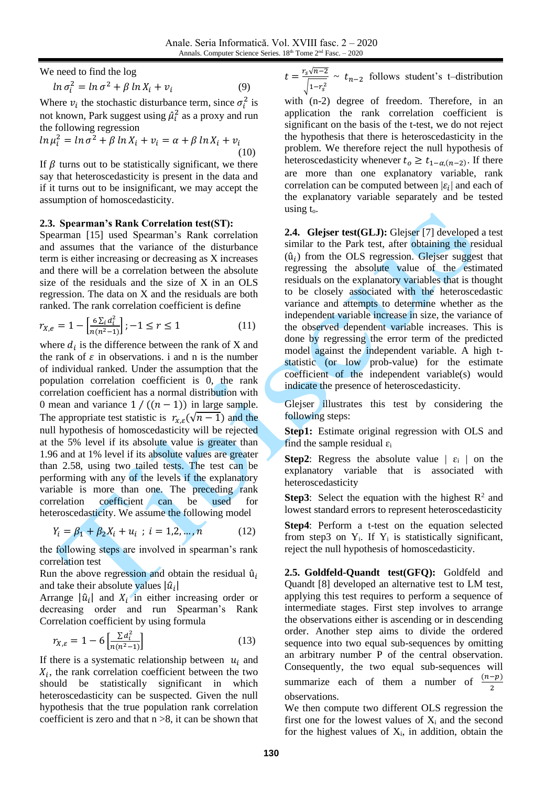We need to find the log

$$
\ln \sigma_i^2 = \ln \sigma^2 + \beta \ln X_i + v_i \tag{9}
$$

Where  $v_i$  the stochastic disturbance term, since  $\sigma_i^2$  is not known, Park suggest using  $\hat{\mu}_i^2$  as a proxy and run the following regression

$$
\ln \mu_i^2 = \ln \sigma^2 + \beta \ln X_i + \nu_i = \alpha + \beta \ln X_i + \nu_i
$$
\n(10)

If  $\beta$  turns out to be statistically significant, we there say that heteroscedasticity is present in the data and if it turns out to be insignificant, we may accept the assumption of homoscedasticity.

#### **2.3. Spearman's Rank Correlation test(ST):**

Spearman [\[15\]](#page-6-0) used Spearman's Rank correlation and assumes that the variance of the disturbance term is either increasing or decreasing as X increases and there will be a correlation between the absolute size of the residuals and the size of X in an OLS regression. The data on X and the residuals are both ranked. The rank correlation coefficient is define

$$
r_{X,e} = 1 - \left[\frac{6\sum_{i} d_i^2}{n(n^2 - 1)}\right]; -1 \le r \le 1\tag{11}
$$

where  $d_i$  is the difference between the rank of X and the rank of  $\varepsilon$  in observations. i and n is the number of individual ranked. Under the assumption that the population correlation coefficient is 0, the rank correlation coefficient has a normal distribution with 0 mean and variance  $1 / ((n - 1))$  in large sample. The appropriate test statistic is  $r_{\chi,\varepsilon}(\sqrt{n-1})$  and the null hypothesis of homoscedasticity will be rejected at the 5% level if its absolute value is greater than 1.96 and at 1% level if its absolute values are greater than 2.58, using two tailed tests. The test can be performing with any of the levels if the explanatory variable is more than one. The preceding rank correlation coefficient can be used for heteroscedasticity. We assume the following model

$$
Y_i = \beta_1 + \beta_2 X_i + u_i \; ; \; i = 1, 2, ..., n \tag{12}
$$

the following steps are involved in spearman's rank correlation test

Run the above regression and obtain the residual  $\hat{u}_i$ and take their absolute values  $|\hat{u}_i|$ 

Arrange  $|\hat{u}_i|$  and  $X_i$  in either increasing order or decreasing order and run Spearman's Rank Correlation coefficient by using formula

$$
r_{X,\varepsilon} = 1 - 6 \left[ \frac{\sum d_i^2}{n(n^2 - 1)} \right] \tag{13}
$$

If there is a systematic relationship between  $u_i$  and  $X_i$ , the rank correlation coefficient between the two should be statistically significant in which heteroscedasticity can be suspected. Given the null hypothesis that the true population rank correlation coefficient is zero and that  $n > 8$ , it can be shown that

 $t = \frac{r_s \sqrt{n-2}}{\sqrt{n-2}}$  $\frac{f_s \sqrt{n}}{\sqrt{1-r_s^2}}$  ~  $t_{n-2}$  follows student's t-distribution

with (n-2) degree of freedom. Therefore, in an application the rank correlation coefficient is significant on the basis of the t-test, we do not reject the hypothesis that there is heteroscedasticity in the problem. We therefore reject the null hypothesis of heteroscedasticity whenever  $t_o \geq t_{1-\alpha,(n-2)}$ . If there are more than one explanatory variable, rank correlation can be computed between  $|\varepsilon_i|$  and each of the explanatory variable separately and be tested using t<sub>o</sub>.

**2.4. Glejser test(GLJ):** Glejser [\[7\]](#page-6-4) developed a test similar to the Park test, after obtaining the residual  $(\hat{u}_i)$  from the OLS regression. Glejser suggest that regressing the absolute value of the estimated residuals on the explanatory variables that is thought to be closely associated with the heteroscedastic variance and attempts to determine whether as the independent variable increase in size, the variance of the observed dependent variable increases. This is done by regressing the error term of the predicted model against the independent variable. A high tstatistic (or low prob-value) for the estimate coefficient of the independent variable(s) would indicate the presence of heteroscedasticity.

Glejser illustrates this test by considering the following steps:

**Step1:** Estimate original regression with OLS and find the sample residual  $\varepsilon_i$ 

**Step2**: Regress the absolute value  $\epsilon_i$  on the explanatory variable that is associated with heteroscedasticity

**Step3**: Select the equation with the highest  $\mathbb{R}^2$  and lowest standard errors to represent heteroscedasticity

**Step4**: Perform a t-test on the equation selected from step3 on  $Y_i$ . If  $Y_i$  is statistically significant, reject the null hypothesis of homoscedasticity.

**2.5. Goldfeld-Quandt test(GFQ):** Goldfeld and Quandt [\[8\]](#page-6-2) developed an alternative test to LM test, applying this test requires to perform a sequence of intermediate stages. First step involves to arrange the observations either is ascending or in descending order. Another step aims to divide the ordered sequence into two equal sub-sequences by omitting an arbitrary number P of the central observation. Consequently, the two equal sub-sequences will summarize each of them a number of  $\frac{(n-p)}{2}$ observations.

We then compute two different OLS regression the first one for the lowest values of  $X_i$  and the second for the highest values of  $X_i$ , in addition, obtain the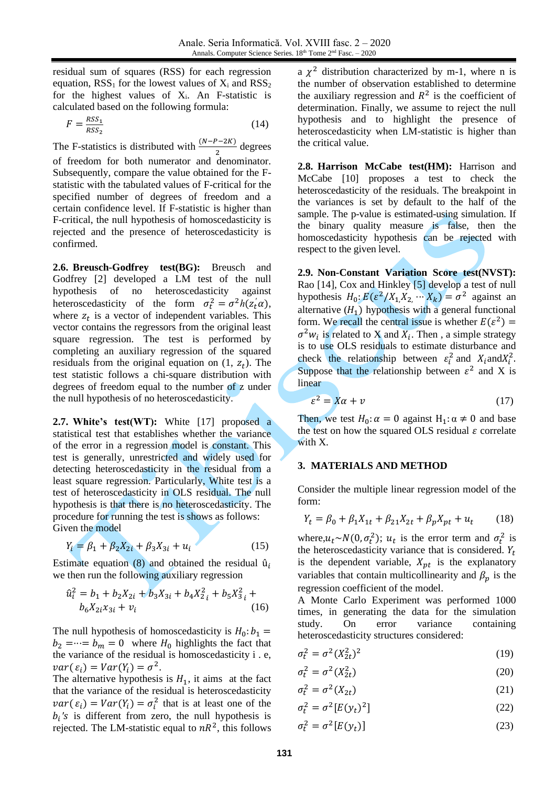residual sum of squares (RSS) for each regression equation,  $RSS<sub>1</sub>$  for the lowest values of  $X<sub>i</sub>$  and  $RSS<sub>2</sub>$ for the highest values of  $X_i$ . An F-statistic is calculated based on the following formula:

$$
F = \frac{RSS_1}{RSS_2} \tag{14}
$$

The F-statistics is distributed with  $\frac{(N-P-2K)}{2}$  degrees of freedom for both numerator and denominator. Subsequently, compare the value obtained for the Fstatistic with the tabulated values of F-critical for the specified number of degrees of freedom and a certain confidence level. If F-statistic is higher than F-critical, the null hypothesis of homoscedasticity is rejected and the presence of heteroscedasticity is confirmed.

**2.6. Breusch-Godfrey test(BG):** Breusch and Godfrey [\[2\]](#page-5-1) developed a LM test of the null hypothesis of no heteroscedasticity against heteroscedasticity of the form  $\sigma_t^2 = \sigma^2 h(z_t^i \alpha)$ , where  $z_t$  is a vector of independent variables. This vector contains the regressors from the original least square regression. The test is performed by completing an auxiliary regression of the squared residuals from the original equation on  $(1, z_t)$ . The test statistic follows a chi-square distribution with degrees of freedom equal to the number of z under the null hypothesis of no heteroscedasticity.

**2.7. White's test(WT):** White [\[17\]](#page-6-7) proposed a statistical test that establishes whether the variance of the error in a regression model is constant. This test is generally, unrestricted and widely used for detecting heteroscedasticity in the residual from a least square regression. Particularly, White test is a test of heteroscedasticity in OLS residual. The null hypothesis is that there is no heteroscedasticity. The procedure for running the test is shows as follows: Given the model

$$
Y_i = \beta_1 + \beta_2 X_{2i} + \beta_3 X_{3i} + u_i \tag{15}
$$

Estimate equation (8) and obtained the residual  $\hat{u}_i$ we then run the following auxiliary regression

$$
\hat{u}_i^2 = b_1 + b_2 X_{2i} + b_3 X_{3i} + b_4 X_{2i}^2 + b_5 X_{3i}^2 + b_6 X_{2i} X_{3i} + v_i
$$
\n(16)

The null hypothesis of homoscedasticity is  $H_0: b_1 =$  $b_2 = \cdots = b_m = 0$  where  $H_0$  highlights the fact that the variance of the residual is homoscedasticity i . e,  $var(\varepsilon_i) = Var(Y_i) = \sigma^2$ .

The alternative hypothesis is  $H_1$ , it aims at the fact that the variance of the residual is heteroscedasticity  $var(\varepsilon_i) = Var(Y_i) = \sigma_i^2$  that is at least one of the  $b_i$ 's is different from zero, the null hypothesis is rejected. The LM-statistic equal to  $nR^2$ , this follows

a  $\chi^2$  distribution characterized by m-1, where n is the number of observation established to determine the auxiliary regression and  $R^2$  is the coefficient of determination. Finally, we assume to reject the null hypothesis and to highlight the presence of heteroscedasticity when LM-statistic is higher than the critical value.

**2.8. Harrison McCabe test(HM):** Harrison and McCabe [\[10\]](#page-6-6) proposes a test to check the heteroscedasticity of the residuals. The breakpoint in the variances is set by default to the half of the sample. The p-value is estimated-using simulation. If the binary quality measure is false, then the homoscedasticity hypothesis can be rejected with respect to the given level.

**2.9. Non-Constant Variation Score test(NVST):** Rao [\[14\],](#page-6-1) Cox and Hinkley [\[5\]](#page-6-9) develop a test of null hypothesis  $H_0: E\left(\frac{\varepsilon^2}{X_1, X_2, \cdots X_k}\right) = \sigma^2$  against an alternative  $(H_1)$  hypothesis with a general functional form. We recall the central issue is whether  $E(\varepsilon^2)$  =  $\sigma^2 w_i$  is related to X and  $X_i$ . Then, a simple strategy is to use OLS residuals to estimate disturbance and check the relationship between  $\varepsilon_i^2$  and  $X_i$  and  $X_i^2$ . Suppose that the relationship between  $\varepsilon^2$  and X is linear

$$
\varepsilon^2 = X\alpha + \nu \tag{17}
$$

Then, we test  $H_0: \alpha = 0$  against  $H_1: \alpha \neq 0$  and base the test on how the squared OLS residual  $\varepsilon$  correlate with X.

#### **3. MATERIALS AND METHOD**

Consider the multiple linear regression model of the form:

$$
Y_t = \beta_0 + \beta_1 X_{1t} + \beta_{21} X_{2t} + \beta_p X_{pt} + u_t \tag{18}
$$

where,  $u_t \sim N(0, \sigma_t^2)$ ;  $u_t$  is the error term and  $\sigma_t^2$  is the heteroscedasticity variance that is considered.  $Y_t$ is the dependent variable,  $X_{pt}$  is the explanatory variables that contain multicollinearity and  $\beta_p$  is the regression coefficient of the model.

A Monte Carlo Experiment was performed 1000 times, in generating the data for the simulation study. On error variance containing heteroscedasticity structures considered:

$$
\sigma_t^2 = \sigma^2 (X_{2t}^2)^2
$$
 (19)

$$
\sigma_t^2 = \sigma^2(X_{2t}^2) \tag{20}
$$

$$
\sigma_t^2 = \sigma^2(X_{2t})
$$
\n(21)

$$
\sigma_t^2 = \sigma^2 [E(y_t)^2]
$$
 (22)

$$
\sigma_t^2 = \sigma^2 [E(y_t)] \tag{23}
$$

 $\overline{\mathbf{a}}$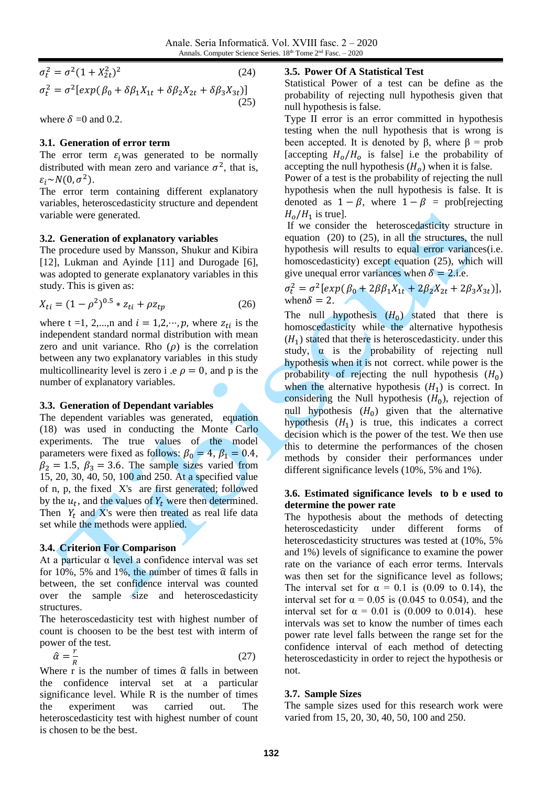$$
\sigma_t^2 = \sigma^2 (1 + X_{2t}^2)^2
$$
\n(24)  
\n
$$
\sigma_t^2 = \sigma^2 [exp(\beta_0 + \delta \beta_1 X_{1t} + \delta \beta_2 X_{2t} + \delta \beta_3 X_{3t})]
$$
\n(25)

where  $\delta = 0$  and 0.2.

## **3.1. Generation of error term**

The error term  $\varepsilon_i$  was generated to be normally distributed with mean zero and variance  $\sigma^2$ , that is,  $\varepsilon_i$  ~ N(0,  $\sigma^2$ ).

The error term containing different explanatory variables, heteroscedasticity structure and dependent variable were generated.

#### **3.2. Generation of explanatory variables**

The procedure used by Mansson, Shukur and Kibira [\[12\],](#page-6-10) Lukman and Ayinde [\[11\]](#page-6-11) and Durogade [\[6\],](#page-6-12) was adopted to generate explanatory variables in this study. This is given as:

$$
X_{ti} = (1 - \rho^2)^{0.5} * z_{ti} + \rho z_{tp}
$$
 (26)

where t =1, 2,...,n and  $i = 1, 2, \dots, p$ , where  $z_{ti}$  is the independent standard normal distribution with mean zero and unit variance. Rho  $(\rho)$  is the correlation between any two explanatory variables in this study multicollinearity level is zero i .e  $\rho = 0$ , and p is the number of explanatory variables.

#### **3.3. Generation of Dependant variables**

The dependent variables was generated, equation (18) was used in conducting the Monte Carlo experiments. The true values of the model parameters were fixed as follows:  $\beta_0 = 4$ ,  $\beta_1 = 0.4$ ,  $\beta_2 = 1.5$ ,  $\beta_3 = 3.6$ . The sample sizes varied from 15, 20, 30, 40, 50, 100 and 250. At a specified value of n, p, the fixed X's are first generated; followed by the  $u_t$ , and the values of  $Y_t$  were then determined. Then  $Y_t$  and X's were then treated as real life data set while the methods were applied.

#### **3.4. Criterion For Comparison**

At a particular  $α$  level a confidence interval was set for 10%, 5% and 1%, the number of times  $\hat{\alpha}$  falls in between, the set confidence interval was counted over the sample size and heteroscedasticity structures.

The heteroscedasticity test with highest number of count is choosen to be the best test with interm of power of the test.

$$
\hat{\alpha} = \frac{r}{R} \tag{27}
$$

Where r is the number of times  $\hat{\alpha}$  falls in between the confidence interval set at a particular significance level. While R is the number of times the experiment was carried out. The heteroscedasticity test with highest number of count is chosen to be the best.

# **3.5. Power Of A Statistical Test**

Statistical Power of a test can be define as the probability of rejecting null hypothesis given that null hypothesis is false.

Type II error is an error committed in hypothesis testing when the null hypothesis that is wrong is been accepted. It is denoted by β, where  $β = prob$ [accepting  $H_0/H_0$  is false] i.e the probability of accepting the null hypothesis  $(H<sub>o</sub>)$  when it is false.

Power of a test is the probability of rejecting the null hypothesis when the null hypothesis is false. It is denoted as  $1 - \beta$ , where  $1 - \beta$  = prob[rejecting]  $H_0/H_1$  is true].

If we consider the heteroscedasticity structure in equation (20) to (25), in all the structures, the null hypothesis will results to equal error variances(i.e. homoscedasticity) except equation (25), which will give unequal error variances when  $\delta = 2$ .i.e.

 $\sigma_t^2 = \sigma^2 [exp(\beta_0 + 2\beta \beta_1 X_{1t} + 2\beta_2 X_{2t} + 2\beta_3 X_{3t})],$ when  $\delta = 2$ .

The null hypothesis  $(H_0)$  stated that there is homoscedasticity while the alternative hypothesis  $(H<sub>1</sub>)$  stated that there is heteroscedasticity. under this study,  $\alpha$  is the probability of rejecting null hypothesis when it is not correct. while power is the probability of rejecting the null hypothesis  $(H_0)$ when the alternative hypothesis  $(H_1)$  is correct. In considering the Null hypothesis  $(H_0)$ , rejection of null hypothesis  $(H_0)$  given that the alternative hypothesis  $(H_1)$  is true, this indicates a correct decision which is the power of the test. We then use this to determine the performances of the chosen methods by consider their performances under different significance levels (10%, 5% and 1%).

#### **3.6. Estimated significance levels to b e used to determine the power rate**

The hypothesis about the methods of detecting heteroscedasticity under different forms of heteroscedasticity structures was tested at (10%, 5% and 1%) levels of significance to examine the power rate on the variance of each error terms. Intervals was then set for the significance level as follows; The interval set for  $\alpha = 0.1$  is (0.09 to 0.14), the interval set for  $\alpha = 0.05$  is (0.045 to 0.054), and the interval set for  $\alpha = 0.01$  is (0.009 to 0.014). hese intervals was set to know the number of times each power rate level falls between the range set for the confidence interval of each method of detecting heteroscedasticity in order to reject the hypothesis or not.

# **3.7. Sample Sizes**

The sample sizes used for this research work were varied from 15, 20, 30, 40, 50, 100 and 250.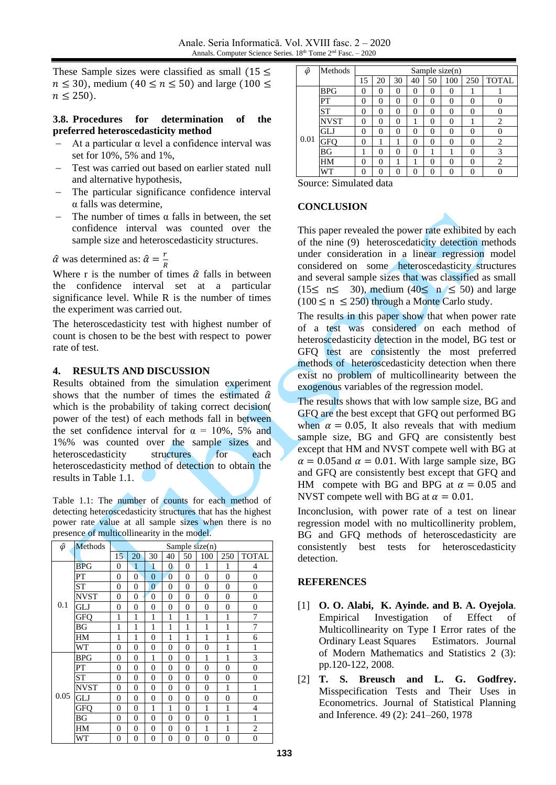These Sample sizes were classified as small (15  $\leq$  $n \leq 30$ ), medium (40  $\leq n \leq 50$ ) and large (100  $\leq$  $n \leq 250$ ).

# **3.8. Procedures for determination of the preferred heteroscedasticity method**

- At a particular  $α$  level a confidence interval was set for 10%, 5% and 1%,
- − Test was carried out based on earlier stated null and alternative hypothesis,
- The particular significance confidence interval α falls was determine,
- The number of times  $\alpha$  falls in between, the set confidence interval was counted over the sample size and heteroscedasticity structures.

#### $\hat{\alpha}$  was determined as:  $\hat{\alpha} = \frac{r}{n}$  $\boldsymbol{R}$

Where r is the number of times  $\hat{\alpha}$  falls in between the confidence interval set at a particular significance level. While R is the number of times the experiment was carried out.

The heteroscedasticity test with highest number of count is chosen to be the best with respect to power rate of test.

#### **4. RESULTS AND DISCUSSION**

Results obtained from the simulation experiment shows that the number of times the estimated  $\hat{\alpha}$ which is the probability of taking correct decision( power of the test) of each methods fall in between the set confidence interval for  $\alpha = 10\%$ , 5% and 1%% was counted over the sample sizes and heteroscedasticity structures for each heteroscedasticity method of detection to obtain the results in Table 1.1.

Table 1.1: The number of counts for each method of detecting heteroscedasticity structures that has the highest power rate value at all sample sizes when there is no presence of multicollinearity in the model.

| $\widehat{\varphi}$ | <b>Methods</b> | Sample size $(n)$ |                |                |                |                |                |                  |                  |  |
|---------------------|----------------|-------------------|----------------|----------------|----------------|----------------|----------------|------------------|------------------|--|
|                     |                | 15                | 20             | 30             | 40             | 50             | 100            | 250              | TOTAL            |  |
| 0.1                 | <b>BPG</b>     | $\theta$          | 1              | 1              | $\overline{0}$ | $\overline{0}$ | 1              | 1                | 4                |  |
|                     | PT             | $\theta$          | $\theta$       | $\Omega$       | $\overline{0}$ | $\overline{0}$ | $\theta$       | $\overline{0}$   | $\theta$         |  |
|                     | ST             | $\overline{0}$    | $\overline{0}$ | $\mathbf{0}$   | 0              | $\overline{0}$ | $\overline{0}$ | 0                | $\overline{0}$   |  |
|                     | NVST           | $\overline{0}$    | $\overline{0}$ | $\overline{0}$ | $\theta$       | $\overline{0}$ | $\overline{0}$ | $\overline{0}$   | $\overline{0}$   |  |
|                     | GLJ            | $\overline{0}$    | $\overline{0}$ | $\theta$       | $\overline{0}$ | $\overline{0}$ | $\overline{0}$ | $\overline{0}$   | $\overline{0}$   |  |
|                     | GFQ            | 1                 | 1              | 1              | $\mathbf{1}$   | 1              | 1              | 1                | 7                |  |
|                     | ΒG             | 1                 | 1              | 1              | 1              | 1              | 1              | $\mathbf{1}$     | 7                |  |
|                     | HМ             | 1                 | 1              | 0              | 1              | 1              | 1              | 1                | 6                |  |
|                     | WT             | $\theta$          | $\overline{0}$ | $\theta$       | $\theta$       | $\theta$       | $\overline{0}$ | 1                | 1                |  |
| 0.05                | BPG            | $\overline{0}$    | $\theta$       | 1              | $\theta$       | $\overline{0}$ | 1              | 1                | 3                |  |
|                     | PТ             | $\overline{0}$    | $\theta$       | $\theta$       | $\theta$       | $\theta$       | $\theta$       | $\overline{0}$   | $\overline{0}$   |  |
|                     | <b>ST</b>      | $\overline{0}$    | $\overline{0}$ | $\theta$       | $\overline{0}$ | $\overline{0}$ | $\overline{0}$ | $\overline{0}$   | $\overline{0}$   |  |
|                     | <b>NVST</b>    | $\overline{0}$    | $\overline{0}$ | $\theta$       | $\theta$       | $\overline{0}$ | $\overline{0}$ | 1                | 1                |  |
|                     | <b>GLJ</b>     | $\overline{0}$    | $\overline{0}$ | $\theta$       | $\overline{0}$ | 0              | $\overline{0}$ | $\boldsymbol{0}$ | $\boldsymbol{0}$ |  |
|                     | <b>GFQ</b>     | $\overline{0}$    | $\overline{0}$ | 1              | 1              | 0              | 1              | 1                | 4                |  |
|                     | ΒG             | 0                 | $\overline{0}$ | $\overline{0}$ | $\theta$       | 0              | $\overline{0}$ | 1                | 1                |  |
|                     | HМ             | $\overline{0}$    | $\theta$       | $\theta$       | $\Omega$       | $\overline{0}$ | 1              | 1                | $\overline{c}$   |  |
|                     | WT             | 0                 | 0              | 0              | 0              | 0              | 0              | $\overline{0}$   | 0                |  |

| $\hat{\varphi}$ | Methods     | Sample size $(n)$ |          |          |    |    |     |     |                |
|-----------------|-------------|-------------------|----------|----------|----|----|-----|-----|----------------|
|                 |             | 15                | 20       | 30       | 40 | 50 | 100 | 250 | <b>TOTAL</b>   |
| 0.01            | BPG         | 0                 | 0        | $\theta$ | 0  | 0  | 0   |     |                |
|                 | PT          | 0                 | $\Omega$ | 0        | 0  | 0  | 0   | 0   | 0              |
|                 | ST          | 0                 | 0        | 0        | 0  | 0  | 0   | 0   | 0              |
|                 | <b>NVST</b> | 0                 | $\Omega$ | 0        | 1  | 0  | 0   | ı   | 2              |
|                 | <b>GLJ</b>  | 0                 | $\Omega$ | 0        | 0  | 0  | 0   | 0   | 0              |
|                 | <b>GFO</b>  | 0                 |          |          | 0  | 0  | 0   | 0   | $\overline{c}$ |
|                 | ΒG          | 1                 | $\Omega$ | 0        | 0  |    |     | 0   | 3              |
|                 | HМ          | 0                 | $\theta$ |          | 1  | 0  | 0   | 0   | $\overline{c}$ |
|                 | WТ          | 0                 |          | 0        | 0  | 0  | 0   | O   |                |

Source: Simulated data

# **CONCLUSION**

This paper revealed the power rate exhibited by each of the nine (9) heteroscedaticity detection methods under consideration in a linear regression model considered on some heteroscedasticity structures and several sample sizes that was classified as small (15≤ n≤ 30), medium (40≤ n ≤ 50) and large  $(100 \le n \le 250)$  through a Monte Carlo study.

The results in this paper show that when power rate of a test was considered on each method of heteroscedasticity detection in the model, BG test or GFQ test are consistently the most preferred methods of heteroscedasticity detection when there exist no problem of multicollinearity between the exogenous variables of the regression model.

The results shows that with low sample size, BG and GFQ are the best except that GFQ out performed BG when  $\alpha = 0.05$ , It also reveals that with medium sample size, BG and GFQ are consistently best except that HM and NVST compete well with BG at  $\alpha = 0.05$ and  $\alpha = 0.01$ . With large sample size, BG and GFQ are consistently best except that GFQ and HM compete with BG and BPG at  $\alpha = 0.05$  and NVST compete well with BG at  $\alpha = 0.01$ .

Inconclusion, with power rate of a test on linear regression model with no multicollinerity problem, BG and GFQ methods of heteroscedasticity are consistently best tests for heteroscedasticity detection.

#### **REFERENCES**

- <span id="page-5-0"></span>[1] **O. O. Alabi, K. Ayinde. and B. A. Oyejola**. Empirical Investigation of Effect of Multicollinearity on Type I Error rates of the Ordinary Least Squares Estimators. Journal of Modern Mathematics and Statistics 2 (3): pp.120-122, 2008.
- <span id="page-5-1"></span>[2] **T. S. Breusch and L. G. Godfrey.** Misspecification Tests and Their Uses in Econometrics. Journal of Statistical Planning and Inference. 49 (2): 241–260, 1978